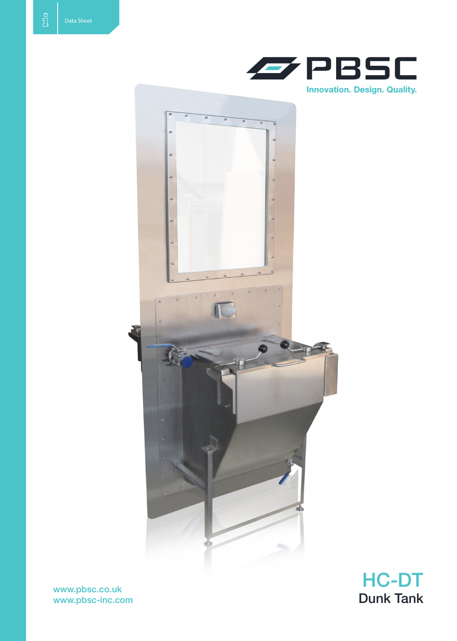





www.pbsc.co.uk www.pbsc-inc.com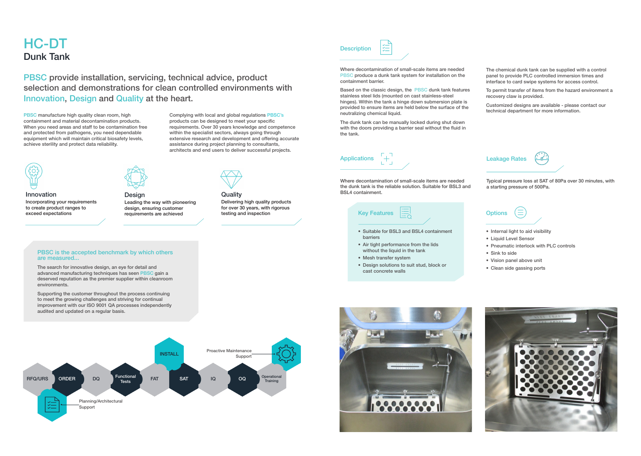# HC-DT Dunk Tank

Where decontamination of small-scale items are needed PBSC produce a dunk tank system for installation on the containment barrier.

Based on the classic design, the PBSC dunk tank features stainless steel lids (mounted on cast stainless-steel hinges). Within the tank a hinge down submersion plate is provided to ensure items are held below the surface of the neutralizing chemical liquid.

The dunk tank can be manually locked during shut down with the doors providing a barrier seal without the fluid in the tank.

- Mesh transfer system
- Design solutions to suit stud, block or cast concrete walls



The chemical dunk tank can be supplied with a control panel to provide PLC controlled immersion times and interface to card swipe systems for access control.

- Internal light to aid visibility
- • Liquid Level Sensor
- Pneumatic interlock with PLC controls
- Sink to side
- • Vision panel above unit
- • Clean side gassing ports



To permit transfer of items from the hazard environment a recovery claw is provided.

Customized designs are available - please contact our technical department for more information.



PBSC manufacture high quality clean room, high containment and material decontamination products. When you need areas and staff to be contamination free and protected from pathogens, you need dependable equipment which will maintain critical biosafety levels, achieve sterility and protect data reliability.



Where decontamination of small-scale items are needed the dunk tank is the reliable solution. Suitable for BSL3 and BSL4 containment.

### Leakage Rates



Typical pressure loss at SAT of 80Pa over 30 minutes, with a starting pressure of 500Pa.

## **Options**



PBSC provide installation, servicing, technical advice, product selection and demonstrations for clean controlled environments with Innovation, Design and Quality at the heart.

> Complying with local and global regulations PBSC's products can be designed to meet your specific requirements. Over 30 years knowledge and competence within the specialist sectors, always going through extensive research and development and offering accurate assistance during project planning to consultants, architects and end users to deliver successful projects.



Innovation Incorporating your requirements to create product ranges to exceed expectations





Delivering high quality products for over 30 years, with rigorous testing and inspection

Design Leading the way with pioneering design, ensuring customer requirements are achieved

#### PBSC is the accepted benchmark by which others are measured...

The search for innovative design, an eye for detail and advanced manufacturing techniques has seen PBSC gain a deserved reputation as the premier supplier within cleanroom environments.

Supporting the customer throughout the process continuing to meet the growing challenges and striving for continual improvement with our ISO 9001 QA processes independently audited and updated on a regular basis.



# **Description**